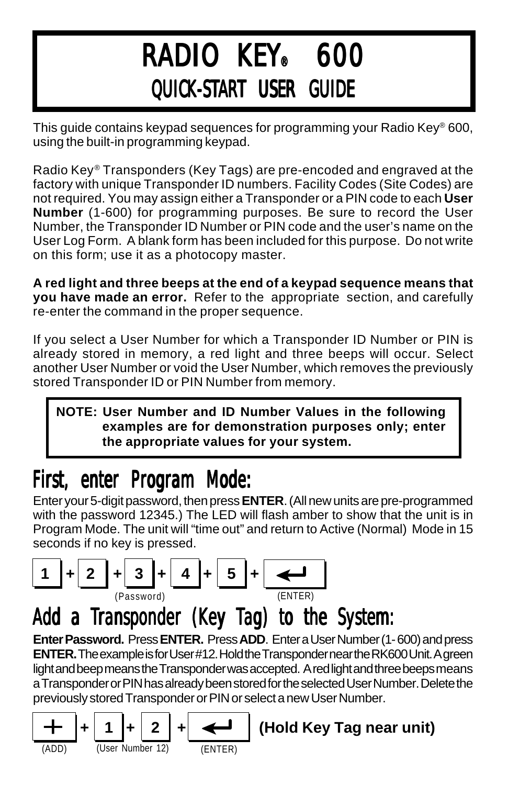# RADIO KEY® 600 QUICK-START USER GUIDE

This guide contains keypad sequences for programming your Radio Key® 600, using the built-in programming keypad.

Radio Key® Transponders (Key Tags) are pre-encoded and engraved at the factory with unique Transponder ID numbers. Facility Codes (Site Codes) are not required. You may assign either a Transponder or a PIN code to each **User Number** (1-600) for programming purposes. Be sure to record the User Number, the Transponder ID Number or PIN code and the user's name on the User Log Form. A blank form has been included for this purpose. Do not write on this form; use it as a photocopy master.

**A red light and three beeps at the end of a keypad sequence means that you have made an error.** Refer to the appropriate section, and carefully re-enter the command in the proper sequence.

If you select a User Number for which a Transponder ID Number or PIN is already stored in memory, a red light and three beeps will occur. Select another User Number or void the User Number, which removes the previously stored Transponder ID or PIN Number from memory.

#### **NOTE: User Number and ID Number Values in the following examples are for demonstration purposes only; enter the appropriate values for your system.**

## First, enter Program Mode:

Enter your 5-digit password, then press **ENTER**. (All new units are pre-programmed with the password 12345.) The LED will flash amber to show that the unit is in Program Mode. The unit will "time out" and return to Active (Normal) Mode in 15 seconds if no key is pressed.



## Add a Transponder (Key Tag) to the System:

**Enter Password.** Press **ENTER.** Press **ADD**. Enter a User Number (1- 600) and press **ENTER.** The example is for User #12. Hold the Transponder near the RK600 Unit. A green light and beep means the Transponder was accepted. A red light and three beeps means a Transponder or PIN has already been stored for the selected User Number. Delete the previously stored Transponder or PIN or select a new User Number.



**(Hold Key Tag near unit)**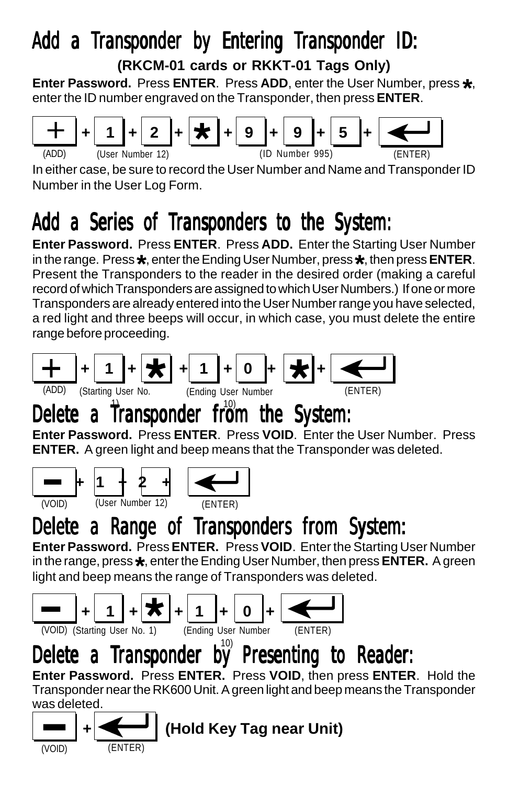# Add a Transponder by Entering Transponder ID:

**(RKCM-01 cards or RKKT-01 Tags Only)**

**Enter Password.** Press **ENTER**. Press **ADD**, enter the User Number, press **\***, enter the ID number engraved on the Transponder, then press **ENTER**.



In either case, be sure to record the User Number and Name and Transponder ID Number in the User Log Form.

## Add a Series of Transponders to the System:

**Enter Password.** Press **ENTER**. Press **ADD.** Enter the Starting User Number in the range. Press **\***, enter the Ending User Number, press **\***, then press **ENTER**. Present the Transponders to the reader in the desired order (making a careful record of which Transponders are assigned to which User Numbers.) If one or more Transponders are already entered into the User Number range you have selected, a red light and three beeps will occur, in which case, you must delete the entire range before proceeding.



## Delete a Transponder from the System:

**Enter Password.** Press **ENTER**. Press **VOID**. Enter the User Number. Press **ENTER.** A green light and beep means that the Transponder was deleted.



## Delete a Range of Transponders from System:

**Enter Password.** Press **ENTER.** Press **VOID**. Enter the Starting User Number in the range, press **\***, enter the Ending User Number, then press **ENTER.** A green light and beep means the range of Transponders was deleted.



# Delete a Transponder by Presenting to Reader:

**Enter Password.** Press **ENTER.** Press **VOID**, then press **ENTER**. Hold the Transponder near the RK600 Unit. A green light and beep means the Transponder was deleted.

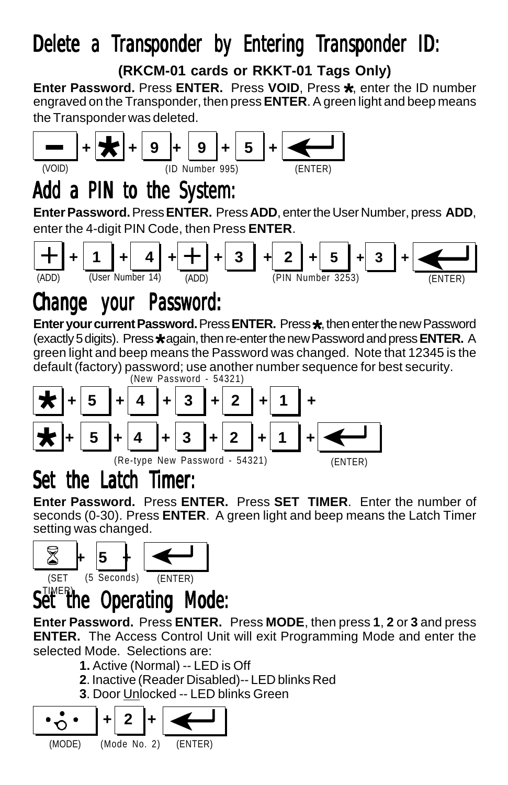### Delete a Transponder by Entering Transponder ID:

**(RKCM-01 cards or RKKT-01 Tags Only)**

**Enter Password.** Press **ENTER.** Press **VOID**, Press **\*** engraved on the Transponder, then press **ENTER**. A green light and beep means Enter Password, Press ENTER, Press VOID, Press \*, enter the ID number the Transponder was deleted.



### Add a PIN to the System:

**Enter Password.** Press **ENTER.** Press **ADD**, enter the User Number, press **ADD**, enter the 4-digit PIN Code, then Press **ENTER**.



### Change your Password:

**Enter your current Password.** Press **ENTER.** Press **\*** , then enter the new Password (exactly 5 digits). Press**\*** again, then re-enter the new Password and press **ENTER.** A green light and beep means the Password was changed. Note that 12345 is the default (factory) password; use another number sequence for best security.



### Set the Latch Timer:

**Enter Password.** Press **ENTER.** Press **SET TIMER**. Enter the number of seconds (0-30). Press **ENTER**. A green light and beep means the Latch Timer setting was changed.



#### TIMER**)**<br>et the **Operating Mode:**

**Enter Password.** Press **ENTER.** Press **MODE**, then press **1**, **2** or **3** and press **ENTER.** The Access Control Unit will exit Programming Mode and enter the selected Mode. Selections are:

- **1.** Active (Normal) -- LED is Off
- **2**. Inactive (Reader Disabled)-- LED blinks Red
- **3**. Door Unlocked -- LED blinks Green